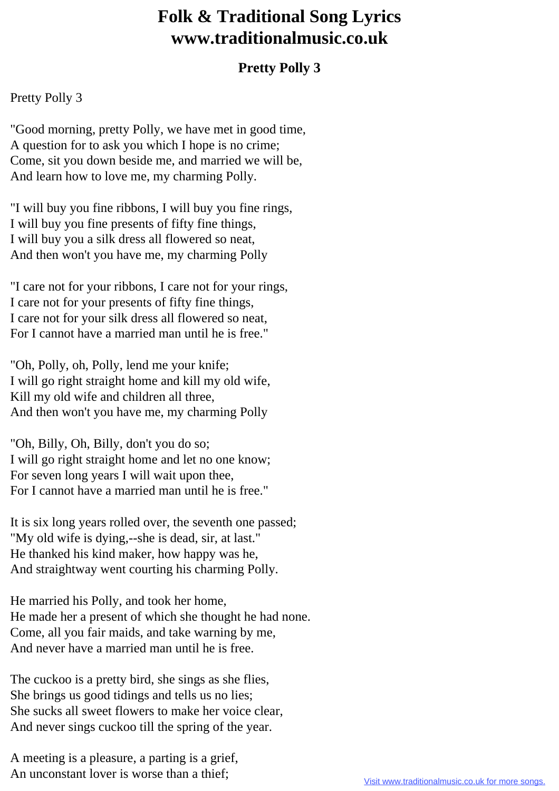## **Folk & Traditional Song Lyrics www.traditionalmusic.co.uk**

## **Pretty Polly 3**

## Pretty Polly 3

"Good morning, pretty Polly, we have met in good time, A question for to ask you which I hope is no crime; Come, sit you down beside me, and married we will be, And learn how to love me, my charming Polly.

"I will buy you fine ribbons, I will buy you fine rings, I will buy you fine presents of fifty fine things, I will buy you a silk dress all flowered so neat, And then won't you have me, my charming Polly

"I care not for your ribbons, I care not for your rings, I care not for your presents of fifty fine things, I care not for your silk dress all flowered so neat, For I cannot have a married man until he is free."

"Oh, Polly, oh, Polly, lend me your knife; I will go right straight home and kill my old wife, Kill my old wife and children all three, And then won't you have me, my charming Polly

"Oh, Billy, Oh, Billy, don't you do so; I will go right straight home and let no one know; For seven long years I will wait upon thee, For I cannot have a married man until he is free."

It is six long years rolled over, the seventh one passed; "My old wife is dying,--she is dead, sir, at last." He thanked his kind maker, how happy was he, And straightway went courting his charming Polly.

He married his Polly, and took her home, He made her a present of which she thought he had none. Come, all you fair maids, and take warning by me, And never have a married man until he is free.

The cuckoo is a pretty bird, she sings as she flies, She brings us good tidings and tells us no lies; She sucks all sweet flowers to make her voice clear, And never sings cuckoo till the spring of the year.

A meeting is a pleasure, a parting is a grief, An unconstant lover is worse than a thief;